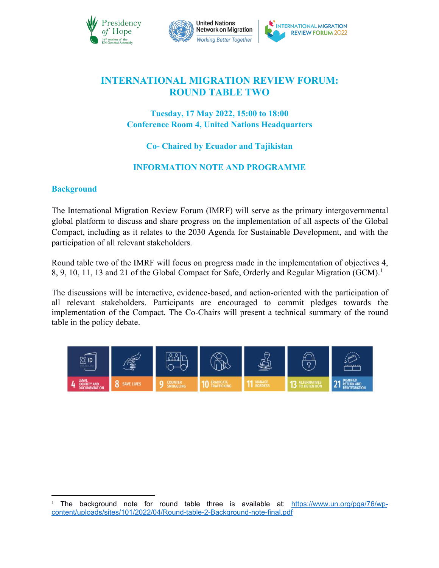



# **INTERNATIONAL MIGRATION REVIEW FORUM: ROUND TABLE TWO**

## **Tuesday, 17 May 2022, 15:00 to 18:00 Conference Room 4, United Nations Headquarters**

# **Co- Chaired by Ecuador and Tajikistan**

## **INFORMATION NOTE AND PROGRAMME**

## **Background**

The International Migration Review Forum (IMRF) will serve as the primary intergovernmental global platform to discuss and share progress on the implementation of all aspects of the Global Compact, including as it relates to the 2030 Agenda for Sustainable Development, and with the participation of all relevant stakeholders.

Round table two of the IMRF will focus on progress made in the implementation of objectives 4, 8, 9, 10, 11, 13 and 21 of the Global Compact for Safe, Orderly and Regular Migration (GCM).[1](#page-0-0)

The discussions will be interactive, evidence-based, and action-oriented with the participation of all relevant stakeholders. Participants are encouraged to commit pledges towards the implementation of the Compact. The Co-Chairs will present a technical summary of the round table in the policy debate.



<span id="page-0-0"></span>The background note for round table three is available at: [https://www.un.org/pga/76/wp](https://www.un.org/pga/76/wp-content/uploads/sites/101/2022/04/Round-table-2-Background-note-final.pdf) content/uploads/sites/101/2022/04/Round-table-2-Background-note-final.pdf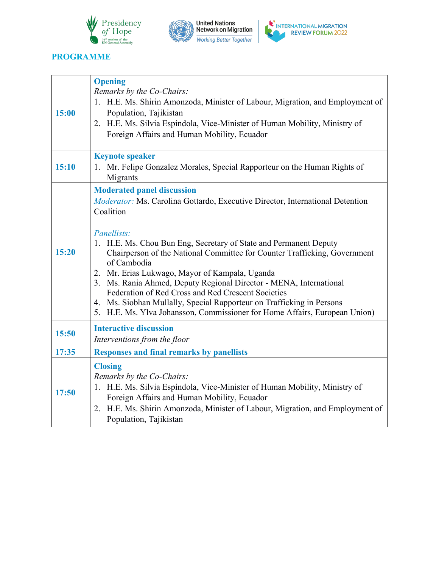





## **PROGRAMME**

Ť

 $\Gamma$ 

|       | <b>Opening</b>                                                                                                                                                                                                                                                                                                                                                                                                                                                                                                                                                                                                                                              |
|-------|-------------------------------------------------------------------------------------------------------------------------------------------------------------------------------------------------------------------------------------------------------------------------------------------------------------------------------------------------------------------------------------------------------------------------------------------------------------------------------------------------------------------------------------------------------------------------------------------------------------------------------------------------------------|
| 15:00 | Remarks by the Co-Chairs:<br>1. H.E. Ms. Shirin Amonzoda, Minister of Labour, Migration, and Employment of<br>Population, Tajikistan<br>2. H.E. Ms. Silvia Espíndola, Vice-Minister of Human Mobility, Ministry of<br>Foreign Affairs and Human Mobility, Ecuador                                                                                                                                                                                                                                                                                                                                                                                           |
| 15:10 | <b>Keynote speaker</b><br>1. Mr. Felipe Gonzalez Morales, Special Rapporteur on the Human Rights of<br>Migrants                                                                                                                                                                                                                                                                                                                                                                                                                                                                                                                                             |
| 15:20 | <b>Moderated panel discussion</b><br><i>Moderator:</i> Ms. Carolina Gottardo, Executive Director, International Detention<br>Coalition<br>Panellists:<br>1. H.E. Ms. Chou Bun Eng, Secretary of State and Permanent Deputy<br>Chairperson of the National Committee for Counter Trafficking, Government<br>of Cambodia<br>2. Mr. Erias Lukwago, Mayor of Kampala, Uganda<br>3. Ms. Rania Ahmed, Deputy Regional Director - MENA, International<br>Federation of Red Cross and Red Crescent Societies<br>4. Ms. Siobhan Mullally, Special Rapporteur on Trafficking in Persons<br>5. H.E. Ms. Ylva Johansson, Commissioner for Home Affairs, European Union) |
| 15:50 | <b>Interactive discussion</b><br>Interventions from the floor                                                                                                                                                                                                                                                                                                                                                                                                                                                                                                                                                                                               |
| 17:35 | <b>Responses and final remarks by panellists</b>                                                                                                                                                                                                                                                                                                                                                                                                                                                                                                                                                                                                            |
| 17:50 | <b>Closing</b><br>Remarks by the Co-Chairs:<br>1. H.E. Ms. Silvia Espíndola, Vice-Minister of Human Mobility, Ministry of<br>Foreign Affairs and Human Mobility, Ecuador<br>H.E. Ms. Shirin Amonzoda, Minister of Labour, Migration, and Employment of<br>2.<br>Population, Tajikistan                                                                                                                                                                                                                                                                                                                                                                      |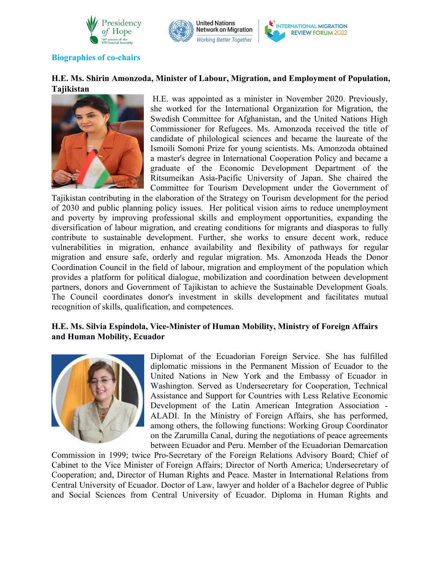



#### **Biographies** of co-chairs

### **H.E. Ms. Shirin Amonzoda, Minister of Labour, Migration, and Employment of Population, Tajikistan**



H.E. was appointed as a minister in November 2020. Previously, she worked for the International Organization for Migration, the Swedish Committee for Afghanistan, and the United Nations High Commissioner for Refugees. Ms. Amonzoda received the title of candidate of philological sciences and became the laureate of the Ismoili Somoni Prize for young scientists. Ms. Amonzoda obtained a master's degree in International Cooperation Policy and became a graduate of the Economic Development Department of the Ritsumeikan Asia-Pacific University of Japan. She chaired the Committee for Tourism Development under the Government of

Tajikistan contributing in the elaboration of the Strategy on Tourism development for the period of 2030 and public planning policy issues. Her political vision aims to reduce unemployment and poverty by improving professional skills and employment opportunities, expanding the diversification of labour migration, and creating conditions for migrants and diasporas to fully contribute to sustainable development. Further, she works to ensure decent work, reduce vulnerabilities in migration, enhance availability and flexibility of pathways for regular migration and ensure safe, orderly and regular migration. Ms. Amonzoda Heads the Donor Coordination Council in the field of labour, migration and employment of the population which provides a platform for political dialogue, mobilization and coordination between development partners, donors and Government of Tajikistan to achieve the Sustainable Development Goals. The Council coordinates donor's investment in skills development and facilitates mutual recognition of skills, qualification, and competences.

#### **H.E. Ms. Silvia Espíndola,Vice-Minister of Human Mobility, Ministry of Foreign Affairs and Human Mobility, Ecuador**



Diplomat of the Ecuadorian Foreign Service. She has fulfilled diplomatic missions in the Permanent Mission of Ecuador to the United Nations in New York and the Embassy of Ecuador in Washington. Served as Undersecretary for Cooperation, Technical Assistance and Support for Countries with Less Relative Economic Development of the Latin American Integration Association - ALADI. In the Ministry of Foreign Affairs, she has performed, among others, the following functions: Working Group Coordinator on the Zarumilla Canal, during the negotiations of peace agreements between Ecuador and Peru. Member of the Ecuadorian Demarcation

Commission in 1999; twice Pro-Secretary of the Foreign Relations Advisory Board; Chief of Cabinet to the Vice Minister of Foreign Affairs; Director of North America; Undersecretary of Cooperation; and, Director of Human Rights and Peace. Master in International Relations from Central University of Ecuador. Doctor of Law, lawyer and holder of a Bachelor degree of Public and Social Sciences from Central University of Ecuador. Diploma in Human Rights and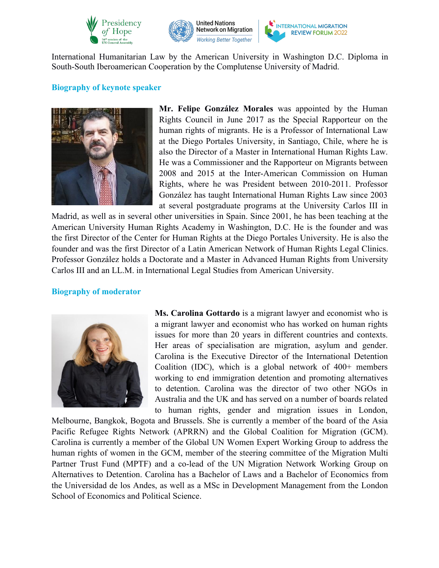



International Humanitarian Law by the American University in Washington D.C. Diploma in South-South Iberoamerican Cooperation by the Complutense University of Madrid.

#### **Biography of keynote speaker**



**Mr. Felipe González Morales** was appointed by the Human Rights Council in June 2017 as the Special Rapporteur on the human rights of migrants. He is a Professor of International Law at the Diego Portales University, in Santiago, Chile, where he is also the Director of a Master in International Human Rights Law. He was a Commissioner and the Rapporteur on Migrants between 2008 and 2015 at the Inter-American Commission on Human Rights, where he was President between 2010-2011. Professor González has taught International Human Rights Law since 2003 at several postgraduate programs at the University Carlos III in

Madrid, as well as in several other universities in Spain. Since 2001, he has been teaching at the American University Human Rights Academy in Washington, D.C. He is the founder and was the first Director of the Center for Human Rights at the Diego Portales University. He is also the founder and was the first Director of a Latin American Network of Human Rights Legal Clinics. Professor González holds a Doctorate and a Master in Advanced Human Rights from University Carlos III and an LL.M. in International Legal Studies from American University.

#### **Biography of moderator**



**Ms. Carolina Gottardo** is a migrant lawyer and economist who is a migrant lawyer and economist who has worked on human rights issues for more than 20 years in different countries and contexts. Her areas of specialisation are migration, asylum and gender. Carolina is the Executive Director of the International Detention Coalition (IDC), which is a global network of 400+ members working to end immigration detention and promoting alternatives to detention. Carolina was the director of two other NGOs in Australia and the UK and has served on a number of boards related to human rights, gender and migration issues in London,

Melbourne, Bangkok, Bogota and Brussels. She is currently a member of the board of the Asia Pacific Refugee Rights Network (APRRN) and the Global Coalition for Migration (GCM). Carolina is currently a member of the Global UN Women Expert Working Group to address the human rights of women in the GCM, member of the steering committee of the Migration Multi Partner Trust Fund (MPTF) and a co-lead of the UN Migration Network Working Group on Alternatives to Detention. Carolina has a Bachelor of Laws and a Bachelor of Economics from the Universidad de los Andes, as well as a MSc in Development Management from the London School of Economics and Political Science.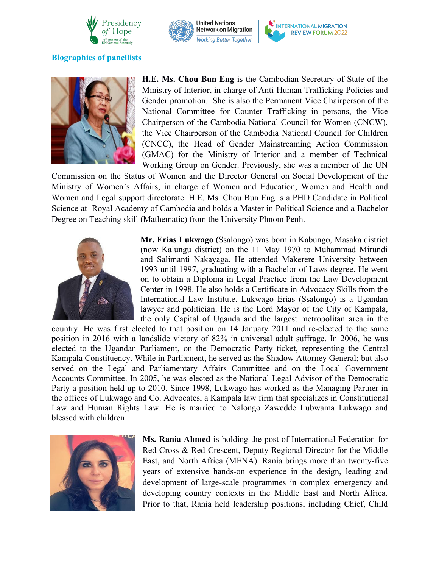





### **Biographies** of panellists



**H.E. Ms. Chou Bun Eng** is the Cambodian Secretary of State of the Ministry of Interior, in charge of Anti-Human Trafficking Policies and Gender promotion. She is also the Permanent Vice Chairperson of the National Committee for Counter Trafficking in persons, the Vice Chairperson of the Cambodia National Council for Women (CNCW), the Vice Chairperson of the Cambodia National Council for Children (CNCC), the Head of Gender Mainstreaming Action Commission (GMAC) for the Ministry of Interior and a member of Technical Working Group on Gender. Previously, she was a member of the UN

Commission on the Status of Women and the Director General on Social Development of the Ministry of Women's Affairs, in charge of Women and Education, Women and Health and Women and Legal support directorate. H.E. Ms. Chou Bun Eng is a PHD Candidate in Political Science at Royal Academy of Cambodia and holds a Master in Political Science and a Bachelor Degree on Teaching skill (Mathematic) from the University Phnom Penh.



**Mr. Erias Lukwago (**Ssalongo) was born in Kabungo, Masaka district (now Kalungu district) on the 11 May 1970 to Muhammad Mirundi and Salimanti Nakayaga. He attended Makerere University between 1993 until 1997, graduating with a Bachelor of Laws degree. He went on to obtain a Diploma in Legal Practice from the Law Development Center in 1998. He also holds a Certificate in Advocacy Skills from the International Law Institute. Lukwago Erias (Ssalongo) is a Ugandan lawyer and politician. He is the Lord Mayor of the City of Kampala, the only Capital of Uganda and the largest metropolitan area in the

country. He was first elected to that position on 14 January 2011 and re-elected to the same position in 2016 with a landslide victory of 82% in universal adult suffrage. In 2006, he was elected to the Ugandan Parliament, on the Democratic Party ticket, representing the Central Kampala Constituency. While in Parliament, he served as the Shadow Attorney General; but also served on the Legal and Parliamentary Affairs Committee and on the Local Government Accounts Committee. In 2005, he was elected as the National Legal Advisor of the Democratic Party a position held up to 2010. Since 1998, Lukwago has worked as the Managing Partner in the offices of Lukwago and Co. Advocates, a Kampala law firm that specializes in Constitutional Law and Human Rights Law. He is married to Nalongo Zawedde Lubwama Lukwago and blessed with children



**Ms. Rania Ahmed** is holding the post of International Federation for Red Cross & Red Crescent, Deputy Regional Director for the Middle East, and North Africa (MENA). Rania brings more than twenty-five years of extensive hands-on experience in the design, leading and development of large-scale programmes in complex emergency and developing country contexts in the Middle East and North Africa. Prior to that, Rania held leadership positions, including Chief, Child